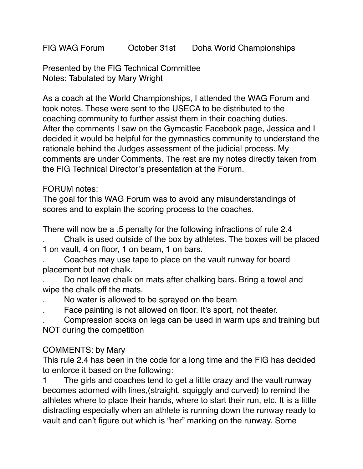FIG WAG Forum October 31st Doha World Championships

Presented by the FIG Technical Committee Notes: Tabulated by Mary Wright

As a coach at the World Championships, I attended the WAG Forum and took notes. These were sent to the USECA to be distributed to the coaching community to further assist them in their coaching duties. After the comments I saw on the Gymcastic Facebook page, Jessica and I decided it would be helpful for the gymnastics community to understand the rationale behind the Judges assessment of the judicial process. My comments are under Comments. The rest are my notes directly taken from the FIG Technical Director's presentation at the Forum.

#### FORUM notes:

The goal for this WAG Forum was to avoid any misunderstandings of scores and to explain the scoring process to the coaches.

There will now be a .5 penalty for the following infractions of rule 2.4

. Chalk is used outside of the box by athletes. The boxes will be placed 1 on vault, 4 on floor, 1 on beam, 1 on bars.

. Coaches may use tape to place on the vault runway for board placement but not chalk.

. Do not leave chalk on mats after chalking bars. Bring a towel and wipe the chalk off the mats.

- . No water is allowed to be sprayed on the beam
- . Face painting is not allowed on floor. It's sport, not theater.

. Compression socks on legs can be used in warm ups and training but NOT during the competition

#### COMMENTS: by Mary

This rule 2.4 has been in the code for a long time and the FIG has decided to enforce it based on the following:

1 The girls and coaches tend to get a little crazy and the vault runway becomes adorned with lines,(straight, squiggly and curved) to remind the athletes where to place their hands, where to start their run, etc. It is a little distracting especially when an athlete is running down the runway ready to vault and can't figure out which is "her" marking on the runway. Some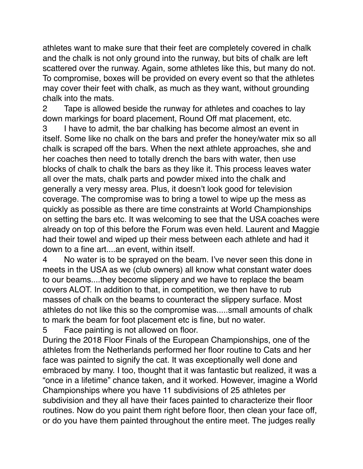athletes want to make sure that their feet are completely covered in chalk and the chalk is not only ground into the runway, but bits of chalk are left scattered over the runway. Again, some athletes like this, but many do not. To compromise, boxes will be provided on every event so that the athletes may cover their feet with chalk, as much as they want, without grounding chalk into the mats.

2 Tape is allowed beside the runway for athletes and coaches to lay down markings for board placement, Round Off mat placement, etc.

3 I have to admit, the bar chalking has become almost an event in itself. Some like no chalk on the bars and prefer the honey/water mix so all chalk is scraped off the bars. When the next athlete approaches, she and her coaches then need to totally drench the bars with water, then use blocks of chalk to chalk the bars as they like it. This process leaves water all over the mats, chalk parts and powder mixed into the chalk and generally a very messy area. Plus, it doesn't look good for television coverage. The compromise was to bring a towel to wipe up the mess as quickly as possible as there are time constraints at World Championships on setting the bars etc. It was welcoming to see that the USA coaches were already on top of this before the Forum was even held. Laurent and Maggie had their towel and wiped up their mess between each athlete and had it down to a fine art....an event, within itself.

4 No water is to be sprayed on the beam. I've never seen this done in meets in the USA as we (club owners) all know what constant water does to our beams....they become slippery and we have to replace the beam covers ALOT. In addition to that, in competition, we then have to rub masses of chalk on the beams to counteract the slippery surface. Most athletes do not like this so the compromise was.....small amounts of chalk to mark the beam for foot placement etc is fine, but no water.

5 Face painting is not allowed on floor.

During the 2018 Floor Finals of the European Championships, one of the athletes from the Netherlands performed her floor routine to Cats and her face was painted to signify the cat. It was exceptionally well done and embraced by many. I too, thought that it was fantastic but realized, it was a "once in a lifetime" chance taken, and it worked. However, imagine a World Championships where you have 11 subdivisions of 25 athletes per subdivision and they all have their faces painted to characterize their floor routines. Now do you paint them right before floor, then clean your face off, or do you have them painted throughout the entire meet. The judges really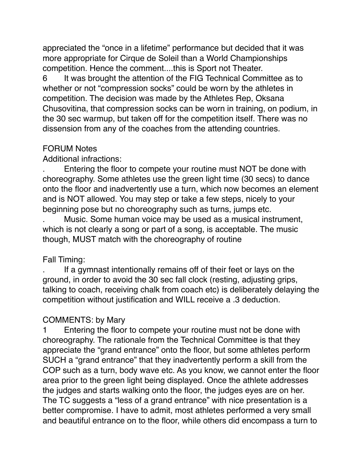appreciated the "once in a lifetime" performance but decided that it was more appropriate for Cirque de Soleil than a World Championships competition. Hence the comment....this is Sport not Theater.

6 It was brought the attention of the FIG Technical Committee as to whether or not "compression socks" could be worn by the athletes in competition. The decision was made by the Athletes Rep, Oksana Chusovitina, that compression socks can be worn in training, on podium, in the 30 sec warmup, but taken off for the competition itself. There was no dissension from any of the coaches from the attending countries.

#### FORUM Notes

Additional infractions:

. Entering the floor to compete your routine must NOT be done with choreography. Some athletes use the green light time (30 secs) to dance onto the floor and inadvertently use a turn, which now becomes an element and is NOT allowed. You may step or take a few steps, nicely to your beginning pose but no choreography such as turns, jumps etc.

. Music. Some human voice may be used as a musical instrument, which is not clearly a song or part of a song, is acceptable. The music though, MUST match with the choreography of routine

#### Fall Timing:

. If a gymnast intentionally remains off of their feet or lays on the ground, in order to avoid the 30 sec fall clock (resting, adjusting grips, talking to coach, receiving chalk from coach etc) is deliberately delaying the competition without justification and WILL receive a .3 deduction.

#### COMMENTS: by Mary

1 Entering the floor to compete your routine must not be done with choreography. The rationale from the Technical Committee is that they appreciate the "grand entrance" onto the floor, but some athletes perform SUCH a "grand entrance" that they inadvertently perform a skill from the COP such as a turn, body wave etc. As you know, we cannot enter the floor area prior to the green light being displayed. Once the athlete addresses the judges and starts walking onto the floor, the judges eyes are on her. The TC suggests a "less of a grand entrance" with nice presentation is a better compromise. I have to admit, most athletes performed a very small and beautiful entrance on to the floor, while others did encompass a turn to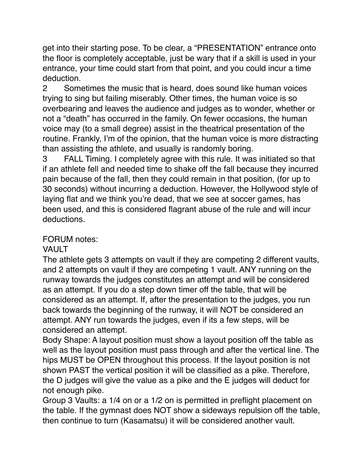get into their starting pose. To be clear, a "PRESENTATION" entrance onto the floor is completely acceptable, just be wary that if a skill is used in your entrance, your time could start from that point, and you could incur a time deduction.

2 Sometimes the music that is heard, does sound like human voices trying to sing but failing miserably. Other times, the human voice is so overbearing and leaves the audience and judges as to wonder, whether or not a "death" has occurred in the family. On fewer occasions, the human voice may (to a small degree) assist in the theatrical presentation of the routine. Frankly, I'm of the opinion, that the human voice is more distracting than assisting the athlete, and usually is randomly boring.

3 FALL Timing. I completely agree with this rule. It was initiated so that if an athlete fell and needed time to shake off the fall because they incurred pain because of the fall, then they could remain in that position, (for up to 30 seconds) without incurring a deduction. However, the Hollywood style of laying flat and we think you're dead, that we see at soccer games, has been used, and this is considered flagrant abuse of the rule and will incur deductions.

#### FORUM notes:

## VAULT

The athlete gets 3 attempts on vault if they are competing 2 different vaults, and 2 attempts on vault if they are competing 1 vault. ANY running on the runway towards the judges constitutes an attempt and will be considered as an attempt. If you do a step down timer off the table, that will be considered as an attempt. If, after the presentation to the judges, you run back towards the beginning of the runway, it will NOT be considered an attempt. ANY run towards the judges, even if its a few steps, will be considered an attempt.

Body Shape: A layout position must show a layout position off the table as well as the layout position must pass through and after the vertical line. The hips MUST be OPEN throughout this process. If the layout position is not shown PAST the vertical position it will be classified as a pike. Therefore, the D judges will give the value as a pike and the E judges will deduct for not enough pike.

Group 3 Vaults: a 1/4 on or a 1/2 on is permitted in preflight placement on the table. If the gymnast does NOT show a sideways repulsion off the table, then continue to turn (Kasamatsu) it will be considered another vault.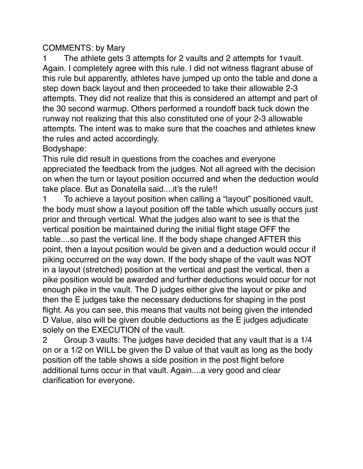#### COMMENTS: by Mary

1 The athlete gets 3 attempts for 2 vaults and 2 attempts for 1vault. Again. I completely agree with this rule. I did not witness flagrant abuse of this rule but apparently, athletes have jumped up onto the table and done a step down back layout and then proceeded to take their allowable 2-3 attempts. They did not realize that this is considered an attempt and part of the 30 second warmup. Others performed a roundoff back tuck down the runway not realizing that this also constituted one of your 2-3 allowable attempts. The intent was to make sure that the coaches and athletes knew the rules and acted accordingly.

Bodyshape:

This rule did result in questions from the coaches and everyone appreciated the feedback from the judges. Not all agreed with the decision on when the turn or layout position occurred and when the deduction would take place. But as Donatella said....it's the rule!!

1 To achieve a layout position when calling a "layout" positioned vault, the body must show a layout position off the table which usually occurs just prior and through vertical. What the judges also want to see is that the vertical position be maintained during the initial flight stage OFF the table....so past the vertical line. If the body shape changed AFTER this point, then a layout position would be given and a deduction would occur if piking occurred on the way down. If the body shape of the vault was NOT in a layout (stretched) position at the vertical and past the vertical, then a pike position would be awarded and further deductions would occur for not enough pike in the vault. The D judges either give the layout or pike and then the E judges take the necessary deductions for shaping in the post flight. As you can see, this means that vaults not being given the intended D Value, also will be given double deductions as the E judges adjudicate solely on the EXECUTION of the vault.

2 Group 3 vaults: The judges have decided that any vault that is a 1/4 on or a 1/2 on WILL be given the D value of that vault as long as the body position off the table shows a side position in the post flight before additional turns occur in that vault. Again....a very good and clear clarification for everyone.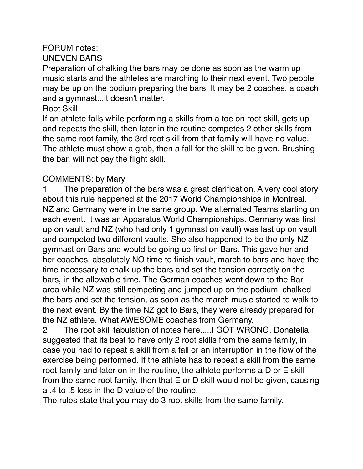#### FORUM notes: UNEVEN BARS

Preparation of chalking the bars may be done as soon as the warm up music starts and the athletes are marching to their next event. Two people may be up on the podium preparing the bars. It may be 2 coaches, a coach and a gymnast...it doesn't matter.

#### Root Skill

If an athlete falls while performing a skills from a toe on root skill, gets up and repeats the skill, then later in the routine competes 2 other skills from the same root family, the 3rd root skill from that family will have no value. The athlete must show a grab, then a fall for the skill to be given. Brushing the bar, will not pay the flight skill.

## COMMENTS: by Mary

1 The preparation of the bars was a great clarification. A very cool story about this rule happened at the 2017 World Championships in Montreal. NZ and Germany were in the same group. We alternated Teams starting on each event. It was an Apparatus World Championships. Germany was first up on vault and NZ (who had only 1 gymnast on vault) was last up on vault and competed two different vaults. She also happened to be the only NZ gymnast on Bars and would be going up first on Bars. This gave her and her coaches, absolutely NO time to finish vault, march to bars and have the time necessary to chalk up the bars and set the tension correctly on the bars, in the allowable time. The German coaches went down to the Bar area while NZ was still competing and jumped up on the podium, chalked the bars and set the tension, as soon as the march music started to walk to the next event. By the time NZ got to Bars, they were already prepared for the NZ athlete. What AWESOME coaches from Germany.

2 The root skill tabulation of notes here.....I GOT WRONG. Donatella suggested that its best to have only 2 root skills from the same family, in case you had to repeat a skill from a fall or an interruption in the flow of the exercise being performed. If the athlete has to repeat a skill from the same root family and later on in the routine, the athlete performs a D or E skill from the same root family, then that E or D skill would not be given, causing a .4 to .5 loss in the D value of the routine.

The rules state that you may do 3 root skills from the same family.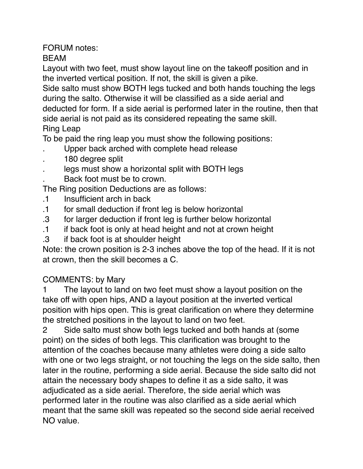# FORUM notes:

BEAM

Layout with two feet, must show layout line on the takeoff position and in the inverted vertical position. If not, the skill is given a pike.

Side salto must show BOTH legs tucked and both hands touching the legs during the salto. Otherwise it will be classified as a side aerial and deducted for form. If a side aerial is performed later in the routine, then that side aerial is not paid as its considered repeating the same skill. Ring Leap

To be paid the ring leap you must show the following positions:

- . Upper back arched with complete head release
- . 180 degree split
- legs must show a horizontal split with BOTH legs
- . Back foot must be to crown.

The Ring position Deductions are as follows:

- .1 Insufficient arch in back
- .1 for small deduction if front leg is below horizontal
- .3 for larger deduction if front leg is further below horizontal
- .1 if back foot is only at head height and not at crown height
- .3 if back foot is at shoulder height

Note: the crown position is 2-3 inches above the top of the head. If it is not at crown, then the skill becomes a C.

## COMMENTS: by Mary

1 The layout to land on two feet must show a layout position on the take off with open hips, AND a layout position at the inverted vertical position with hips open. This is great clarification on where they determine the stretched positions in the layout to land on two feet.

2 Side salto must show both legs tucked and both hands at (some point) on the sides of both legs. This clarification was brought to the attention of the coaches because many athletes were doing a side salto with one or two legs straight, or not touching the legs on the side salto, then later in the routine, performing a side aerial. Because the side salto did not attain the necessary body shapes to define it as a side salto, it was adjudicated as a side aerial. Therefore, the side aerial which was performed later in the routine was also clarified as a side aerial which meant that the same skill was repeated so the second side aerial received NO value.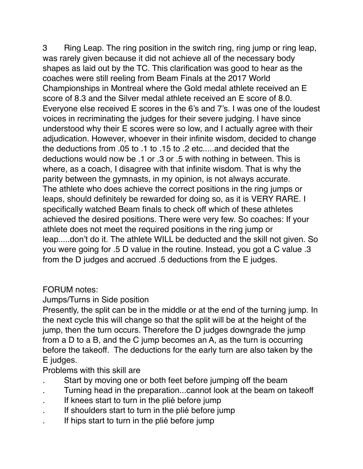3 Ring Leap. The ring position in the switch ring, ring jump or ring leap, was rarely given because it did not achieve all of the necessary body shapes as laid out by the TC. This clarification was good to hear as the coaches were still reeling from Beam Finals at the 2017 World Championships in Montreal where the Gold medal athlete received an E score of 8.3 and the Silver medal athlete received an E score of 8.0. Everyone else received E scores in the 6's and 7's. I was one of the loudest voices in recriminating the judges for their severe judging. I have since understood why their E scores were so low, and I actually agree with their adjudication. However, whoever in their infinite wisdom, decided to change the deductions from .05 to .1 to .15 to .2 etc.....and decided that the deductions would now be .1 or .3 or .5 with nothing in between. This is where, as a coach, I disagree with that infinite wisdom. That is why the parity between the gymnasts, in my opinion, is not always accurate. The athlete who does achieve the correct positions in the ring jumps or leaps, should definitely be rewarded for doing so, as it is VERY RARE. I specifically watched Beam finals to check off which of these athletes achieved the desired positions. There were very few. So coaches: If your athlete does not meet the required positions in the ring jump or leap.....don't do it. The athlete WILL be deducted and the skill not given. So you were going for .5 D value in the routine. Instead, you got a C value .3 from the D judges and accrued .5 deductions from the E judges.

#### FORUM notes:

#### Jumps/Turns in Side position

Presently, the split can be in the middle or at the end of the turning jump. In the next cycle this will change so that the split will be at the height of the jump, then the turn occurs. Therefore the D judges downgrade the jump from a D to a B, and the C jump becomes an A, as the turn is occurring before the takeoff. The deductions for the early turn are also taken by the E judges.

Problems with this skill are

- Start by moving one or both feet before jumping off the beam
- . Turning head in the preparation...cannot look at the beam on takeoff
- . If knees start to turn in the plié before jump
- . If shoulders start to turn in the plié before jump
- . If hips start to turn in the plié before jump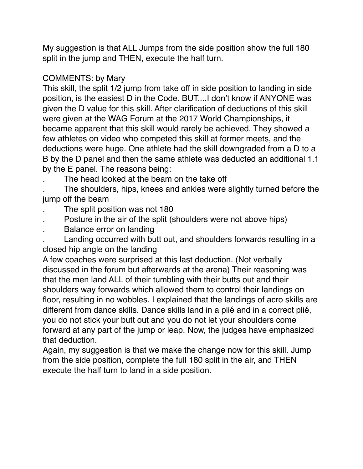My suggestion is that ALL Jumps from the side position show the full 180 split in the jump and THEN, execute the half turn.

#### COMMENTS: by Mary

This skill, the split 1/2 jump from take off in side position to landing in side position, is the easiest D in the Code. BUT....I don't know if ANYONE was given the D value for this skill. After clarification of deductions of this skill were given at the WAG Forum at the 2017 World Championships, it became apparent that this skill would rarely be achieved. They showed a few athletes on video who competed this skill at former meets, and the deductions were huge. One athlete had the skill downgraded from a D to a B by the D panel and then the same athlete was deducted an additional 1.1 by the E panel. The reasons being:

The head looked at the beam on the take off

. The shoulders, hips, knees and ankles were slightly turned before the jump off the beam

- . The split position was not 180
- . Posture in the air of the split (shoulders were not above hips)
- . Balance error on landing

. Landing occurred with butt out, and shoulders forwards resulting in a closed hip angle on the landing

A few coaches were surprised at this last deduction. (Not verbally discussed in the forum but afterwards at the arena) Their reasoning was that the men land ALL of their tumbling with their butts out and their shoulders way forwards which allowed them to control their landings on floor, resulting in no wobbles. I explained that the landings of acro skills are different from dance skills. Dance skills land in a plié and in a correct plié, you do not stick your butt out and you do not let your shoulders come forward at any part of the jump or leap. Now, the judges have emphasized that deduction.

Again, my suggestion is that we make the change now for this skill. Jump from the side position, complete the full 180 split in the air, and THEN execute the half turn to land in a side position.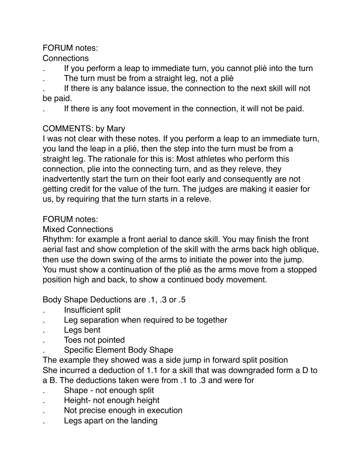## FORUM notes:

## **Connections**

- . If you perform a leap to immediate turn, you cannot plié into the turn
- The turn must be from a straight leg, not a plié

. If there is any balance issue, the connection to the next skill will not be paid.

. If there is any foot movement in the connection, it will not be paid.

## COMMENTS: by Mary

I was not clear with these notes. If you perform a leap to an immediate turn, you land the leap in a plié, then the step into the turn must be from a straight leg. The rationale for this is: Most athletes who perform this connection, plie into the connecting turn, and as they releve, they inadvertently start the turn on their foot early and consequently are not getting credit for the value of the turn. The judges are making it easier for us, by requiring that the turn starts in a releve.

## FORUM notes:

## Mixed Connections

Rhythm: for example a front aerial to dance skill. You may finish the front aerial fast and show completion of the skill with the arms back high oblique, then use the down swing of the arms to initiate the power into the jump. You must show a continuation of the plié as the arms move from a stopped position high and back, to show a continued body movement.

Body Shape Deductions are .1, .3 or .5

- . Insufficient split
- . Leg separation when required to be together
- . Legs bent
- . Toes not pointed
- . Specific Element Body Shape
- The example they showed was a side jump in forward split position She incurred a deduction of 1.1 for a skill that was downgraded form a D to
- a B. The deductions taken were from .1 to .3 and were for
- . Shape not enough split
- . Height- not enough height
- . Not precise enough in execution
- . Legs apart on the landing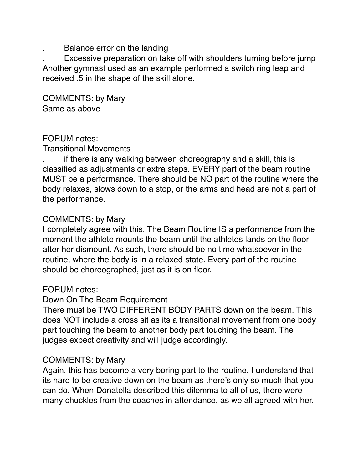. Balance error on the landing

. Excessive preparation on take off with shoulders turning before jump Another gymnast used as an example performed a switch ring leap and received .5 in the shape of the skill alone.

COMMENTS: by Mary Same as above

#### FORUM notes:

Transitional Movements

. if there is any walking between choreography and a skill, this is classified as adjustments or extra steps. EVERY part of the beam routine MUST be a performance. There should be NO part of the routine where the body relaxes, slows down to a stop, or the arms and head are not a part of the performance.

## COMMENTS: by Mary

I completely agree with this. The Beam Routine IS a performance from the moment the athlete mounts the beam until the athletes lands on the floor after her dismount. As such, there should be no time whatsoever in the routine, where the body is in a relaxed state. Every part of the routine should be choreographed, just as it is on floor.

#### FORUM notes:

Down On The Beam Requirement

There must be TWO DIFFERENT BODY PARTS down on the beam. This does NOT include a cross sit as its a transitional movement from one body part touching the beam to another body part touching the beam. The judges expect creativity and will judge accordingly.

#### COMMENTS: by Mary

Again, this has become a very boring part to the routine. I understand that its hard to be creative down on the beam as there's only so much that you can do. When Donatella described this dilemma to all of us, there were many chuckles from the coaches in attendance, as we all agreed with her.